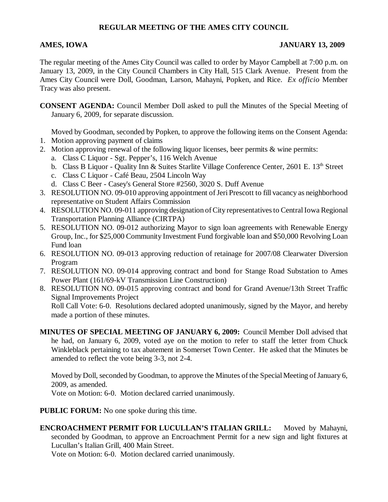## **REGULAR MEETING OF THE AMES CITY COUNCIL**

## **AMES, IOWA JANUARY 13, 2009**

The regular meeting of the Ames City Council was called to order by Mayor Campbell at 7:00 p.m. on January 13, 2009, in the City Council Chambers in City Hall, 515 Clark Avenue. Present from the Ames City Council were Doll, Goodman, Larson, Mahayni, Popken, and Rice. *Ex officio* Member Tracy was also present.

**CONSENT AGENDA:** Council Member Doll asked to pull the Minutes of the Special Meeting of January 6, 2009, for separate discussion.

Moved by Goodman, seconded by Popken, to approve the following items on the Consent Agenda:

- 1. Motion approving payment of claims
- 2. Motion approving renewal of the following liquor licenses, beer permits & wine permits:
	- a. Class C Liquor Sgt. Pepper's, 116 Welch Avenue
	- b. Class B Liquor Quality Inn & Suites Starlite Village Conference Center, 2601 E. 13<sup>th</sup> Street
	- c. Class C Liquor Café Beau, 2504 Lincoln Way
	- d. Class C Beer Casey's General Store #2560, 3020 S. Duff Avenue
- 3. RESOLUTION NO. 09-010 approving appointment of Jeri Prescott to fill vacancy as neighborhood representative on Student Affairs Commission
- 4. RESOLUTION NO. 09-011 approving designation of City representatives to Central Iowa Regional Transportation Planning Alliance (CIRTPA)
- 5. RESOLUTION NO. 09-012 authorizing Mayor to sign loan agreements with Renewable Energy Group, Inc., for \$25,000 Community Investment Fund forgivable loan and \$50,000 Revolving Loan Fund loan
- 6. RESOLUTION NO. 09-013 approving reduction of retainage for 2007/08 Clearwater Diversion Program
- 7. RESOLUTION NO. 09-014 approving contract and bond for Stange Road Substation to Ames Power Plant (161/69-kV Transmission Line Construction)
- 8. RESOLUTION NO. 09-015 approving contract and bond for Grand Avenue/13th Street Traffic Signal Improvements Project

Roll Call Vote: 6-0. Resolutions declared adopted unanimously, signed by the Mayor, and hereby made a portion of these minutes.

**MINUTES OF SPECIAL MEETING OF JANUARY 6, 2009:** Council Member Doll advised that he had, on January 6, 2009, voted aye on the motion to refer to staff the letter from Chuck Winkleblack pertaining to tax abatement in Somerset Town Center. He asked that the Minutes be amended to reflect the vote being 3-3, not 2-4.

Moved by Doll, seconded by Goodman, to approve the Minutes of the Special Meeting of January 6, 2009, as amended.

Vote on Motion: 6-0. Motion declared carried unanimously.

**PUBLIC FORUM:** No one spoke during this time.

**ENCROACHMENT PERMIT FOR LUCULLAN'S ITALIAN GRILL:** Moved by Mahayni, seconded by Goodman, to approve an Encroachment Permit for a new sign and light fixtures at Lucullan's Italian Grill, 400 Main Street.

Vote on Motion: 6-0. Motion declared carried unanimously.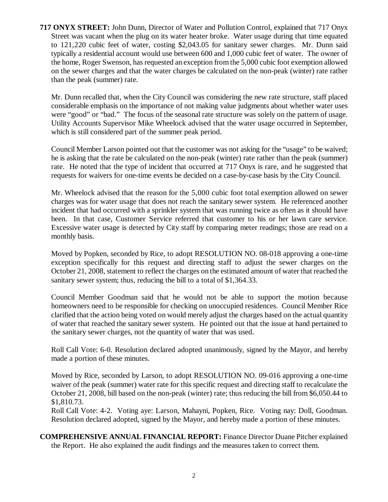**717 ONYX STREET:** John Dunn, Director of Water and Pollution Control, explained that 717 Onyx Street was vacant when the plug on its water heater broke. Water usage during that time equated to 121,220 cubic feet of water, costing \$2,043.05 for sanitary sewer charges. Mr. Dunn said typically a residential account would use between 600 and 1,000 cubic feet of water. The owner of the home, Roger Swenson, has requested an exception from the 5,000 cubic foot exemption allowed on the sewer charges and that the water charges be calculated on the non-peak (winter) rate rather than the peak (summer) rate.

Mr. Dunn recalled that, when the City Council was considering the new rate structure, staff placed considerable emphasis on the importance of not making value judgments about whether water uses were "good" or "bad." The focus of the seasonal rate structure was solely on the pattern of usage. Utility Accounts Supervisor Mike Wheelock advised that the water usage occurred in September, which is still considered part of the summer peak period.

Council Member Larson pointed out that the customer was not asking for the "usage" to be waived; he is asking that the rate be calculated on the non-peak (winter) rate rather than the peak (summer) rate. He noted that the type of incident that occurred at 717 Onyx is rare, and he suggested that requests for waivers for one-time events be decided on a case-by-case basis by the City Council.

Mr. Wheelock advised that the reason for the 5,000 cubic foot total exemption allowed on sewer charges was for water usage that does not reach the sanitary sewer system. He referenced another incident that had occurred with a sprinkler system that was running twice as often as it should have been. In that case, Customer Service referred that customer to his or her lawn care service. Excessive water usage is detected by City staff by comparing meter readings; those are read on a monthly basis.

Moved by Popken, seconded by Rice, to adopt RESOLUTION NO. 08-018 approving a one-time exception specifically for this request and directing staff to adjust the sewer charges on the October 21, 2008, statement to reflect the charges on the estimated amount of water that reached the sanitary sewer system; thus, reducing the bill to a total of \$1,364.33.

Council Member Goodman said that he would not be able to support the motion because homeowners need to be responsible for checking on unoccupied residences. Council Member Rice clarified that the action being voted on would merely adjust the charges based on the actual quantity of water that reached the sanitary sewer system. He pointed out that the issue at hand pertained to the sanitary sewer charges, not the quantity of water that was used.

Roll Call Vote: 6-0. Resolution declared adopted unanimously, signed by the Mayor, and hereby made a portion of these minutes.

Moved by Rice, seconded by Larson, to adopt RESOLUTION NO. 09-016 approving a one-time waiver of the peak (summer) water rate for this specific request and directing staff to recalculate the October 21, 2008, bill based on the non-peak (winter) rate; thus reducing the bill from \$6,050.44 to \$1,810.73.

Roll Call Vote: 4-2. Voting aye: Larson, Mahayni, Popken, Rice. Voting nay: Doll, Goodman. Resolution declared adopted, signed by the Mayor, and hereby made a portion of these minutes.

**COMPREHENSIVE ANNUAL FINANCIAL REPORT:** Finance Director Duane Pitcher explained the Report. He also explained the audit findings and the measures taken to correct them.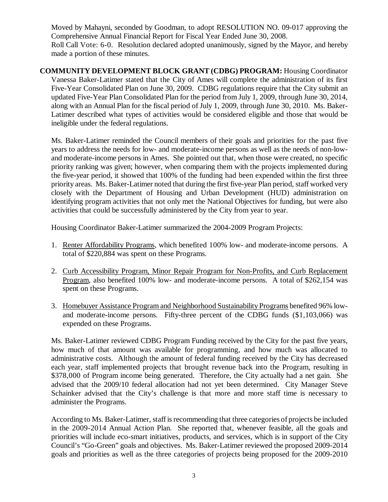Moved by Mahayni, seconded by Goodman, to adopt RESOLUTION NO. 09-017 approving the Comprehensive Annual Financial Report for Fiscal Year Ended June 30, 2008. Roll Call Vote: 6-0. Resolution declared adopted unanimously, signed by the Mayor, and hereby made a portion of these minutes.

**COMMUNITY DEVELOPMENT BLOCK GRANT (CDBG) PROGRAM:** Housing Coordinator Vanessa Baker-Latimer stated that the City of Ames will complete the administration of its first Five-Year Consolidated Plan on June 30, 2009. CDBG regulations require that the City submit an updated Five-Year Plan Consolidated Plan for the period from July 1, 2009, through June 30, 2014, along with an Annual Plan for the fiscal period of July 1, 2009, through June 30, 2010. Ms. Baker-Latimer described what types of activities would be considered eligible and those that would be ineligible under the federal regulations.

Ms. Baker-Latimer reminded the Council members of their goals and priorities for the past five years to address the needs for low- and moderate-income persons as well as the needs of non-lowand moderate-income persons in Ames. She pointed out that, when those were created, no specific priority ranking was given; however, when comparing them with the projects implemented during the five-year period, it showed that 100% of the funding had been expended within the first three priority areas. Ms. Baker-Latimer noted that during the first five-year Plan period, staff worked very closely with the Department of Housing and Urban Development (HUD) administration on identifying program activities that not only met the National Objectives for funding, but were also activities that could be successfully administered by the City from year to year.

Housing Coordinator Baker-Latimer summarized the 2004-2009 Program Projects:

- 1. Renter Affordability Programs, which benefited 100% low- and moderate-income persons. A total of \$220,884 was spent on these Programs.
- 2. Curb Accessibility Program, Minor Repair Program for Non-Profits, and Curb Replacement Program, also benefited 100% low- and moderate-income persons. A total of \$262,154 was spent on these Programs.
- 3. Homebuyer Assistance Program and Neighborhood Sustainability Programs benefited 96% lowand moderate-income persons. Fifty-three percent of the CDBG funds (\$1,103,066) was expended on these Programs.

Ms. Baker-Latimer reviewed CDBG Program Funding received by the City for the past five years, how much of that amount was available for programming, and how much was allocated to administrative costs. Although the amount of federal funding received by the City has decreased each year, staff implemented projects that brought revenue back into the Program, resulting in \$378,000 of Program income being generated. Therefore, the City actually had a net gain. She advised that the 2009/10 federal allocation had not yet been determined. City Manager Steve Schainker advised that the City's challenge is that more and more staff time is necessary to administer the Programs.

According to Ms. Baker-Latimer, staff is recommending that three categories of projects be included in the 2009-2014 Annual Action Plan. She reported that, whenever feasible, all the goals and priorities will include eco-smart initiatives, products, and services, which is in support of the City Council's "Go-Green" goals and objectives. Ms. Baker-Latimer reviewed the proposed 2009-2014 goals and priorities as well as the three categories of projects being proposed for the 2009-2010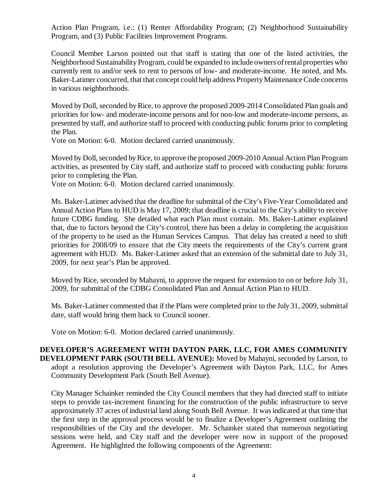Action Plan Program, i.e.: (1) Renter Affordability Program; (2) Neighborhood Sustainability Program, and (3) Public Facilities Improvement Programs.

Council Member Larson pointed out that staff is stating that one of the listed activities, the Neighborhood Sustainability Program, could be expanded to include owners of rental properties who currently rent to and/or seek to rent to persons of low- and moderate-income. He noted, and Ms. Baker-Latimer concurred, that that concept could help address Property Maintenance Code concerns in various neighborhoods.

Moved by Doll, seconded by Rice, to approve the proposed 2009-2014 Consolidated Plan goals and priorities for low- and moderate-income persons and for non-low and moderate-income persons, as presented by staff, and authorize staff to proceed with conducting public forums prior to completing the Plan.

Vote on Motion: 6-0. Motion declared carried unanimously.

Moved by Doll, seconded by Rice, to approve the proposed 2009-2010 Annual Action Plan Program activities, as presented by City staff, and authorize staff to proceed with conducting public forums prior to completing the Plan.

Vote on Motion: 6-0. Motion declared carried unanimously.

Ms. Baker-Latimer advised that the deadline for submittal of the City's Five-Year Consolidated and Annual Action Plans to HUD is May 17, 2009; that deadline is crucial to the City's ability to receive future CDBG funding. She detailed what each Plan must contain. Ms. Baker-Latimer explained that, due to factors beyond the City's control, there has been a delay in completing the acquisition of the property to be used as the Human Services Campus. That delay has created a need to shift priorities for 2008/09 to ensure that the City meets the requirements of the City's current grant agreement with HUD. Ms. Baker-Latimer asked that an extension of the submittal date to July 31, 2009, for next year's Plan be approved.

Moved by Rice, seconded by Mahayni, to approve the request for extension to on or before July 31, 2009, for submittal of the CDBG Consolidated Plan and Annual Action Plan to HUD.

Ms. Baker-Latimer commented that if the Plans were completed prior to the July 31, 2009, submittal date, staff would bring them back to Council sooner.

Vote on Motion: 6-0. Motion declared carried unanimously.

## **DEVELOPER'S AGREEMENT WITH DAYTON PARK, LLC, FOR AMES COMMUNITY DEVELOPMENT PARK (SOUTH BELL AVENUE):** Moved by Mahayni, seconded by Larson, to adopt a resolution approving the Developer's Agreement with Dayton Park, LLC, for Ames Community Development Park (South Bell Avenue).

City Manager Schainker reminded the City Council members that they had directed staff to initiate steps to provide tax-increment financing for the construction of the public infrastructure to serve approximately 37 acres of industrial land along South Bell Avenue. It was indicated at that time that the first step in the approval process would be to finalize a Developer's Agreement outlining the responsibilities of the City and the developer. Mr. Schainker stated that numerous negotiating sessions were held, and City staff and the developer were now in support of the proposed Agreement. He highlighted the following components of the Agreement: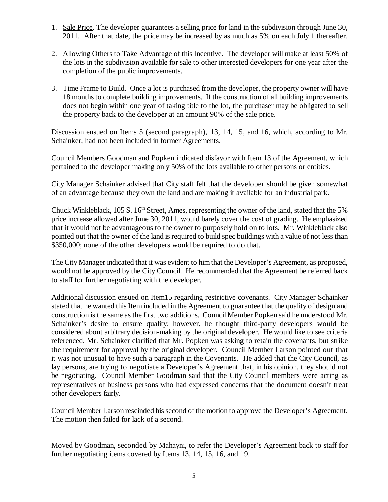- 1. Sale Price. The developer guarantees a selling price for land in the subdivision through June 30, 2011. After that date, the price may be increased by as much as 5% on each July 1 thereafter.
- 2. Allowing Others to Take Advantage of this Incentive. The developer will make at least 50% of the lots in the subdivision available for sale to other interested developers for one year after the completion of the public improvements.
- 3. Time Frame to Build. Once a lot is purchased from the developer, the property owner will have 18 months to complete building improvements. If the construction of all building improvements does not begin within one year of taking title to the lot, the purchaser may be obligated to sell the property back to the developer at an amount 90% of the sale price.

Discussion ensued on Items 5 (second paragraph), 13, 14, 15, and 16, which, according to Mr. Schainker, had not been included in former Agreements.

Council Members Goodman and Popken indicated disfavor with Item 13 of the Agreement, which pertained to the developer making only 50% of the lots available to other persons or entities.

City Manager Schainker advised that City staff felt that the developer should be given somewhat of an advantage because they own the land and are making it available for an industrial park.

Chuck Winkleblack, 105 S. 16<sup>th</sup> Street, Ames, representing the owner of the land, stated that the 5% price increase allowed after June 30, 2011, would barely cover the cost of grading. He emphasized that it would not be advantageous to the owner to purposely hold on to lots. Mr. Winkleblack also pointed out that the owner of the land is required to build spec buildings with a value of not less than \$350,000; none of the other developers would be required to do that.

The City Manager indicated that it was evident to him that the Developer's Agreement, as proposed, would not be approved by the City Council. He recommended that the Agreement be referred back to staff for further negotiating with the developer.

Additional discussion ensued on Item15 regarding restrictive covenants. City Manager Schainker stated that he wanted this Item included in the Agreement to guarantee that the quality of design and construction is the same as the first two additions. Council Member Popken said he understood Mr. Schainker's desire to ensure quality; however, he thought third-party developers would be considered about arbitrary decision-making by the original developer. He would like to see criteria referenced. Mr. Schainker clarified that Mr. Popken was asking to retain the covenants, but strike the requirement for approval by the original developer. Council Member Larson pointed out that it was not unusual to have such a paragraph in the Covenants. He added that the City Council, as lay persons, are trying to negotiate a Developer's Agreement that, in his opinion, they should not be negotiating. Council Member Goodman said that the City Council members were acting as representatives of business persons who had expressed concerns that the document doesn't treat other developers fairly.

Council Member Larson rescinded his second of the motion to approve the Developer's Agreement. The motion then failed for lack of a second.

Moved by Goodman, seconded by Mahayni, to refer the Developer's Agreement back to staff for further negotiating items covered by Items 13, 14, 15, 16, and 19.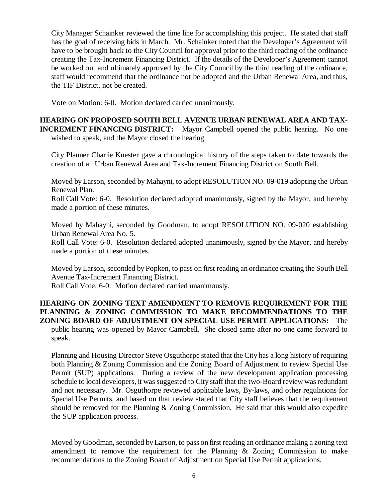City Manager Schainker reviewed the time line for accomplishing this project. He stated that staff has the goal of receiving bids in March. Mr. Schainker noted that the Developer's Agreement will have to be brought back to the City Council for approval prior to the third reading of the ordinance creating the Tax-Increment Financing District. If the details of the Developer's Agreement cannot be worked out and ultimately approved by the City Council by the third reading of the ordinance, staff would recommend that the ordinance not be adopted and the Urban Renewal Area, and thus, the TIF District, not be created.

Vote on Motion: 6-0. Motion declared carried unanimously.

**HEARING ON PROPOSED SOUTH BELL AVENUE URBAN RENEWAL AREA AND TAX-INCREMENT FINANCING DISTRICT:** Mayor Campbell opened the public hearing. No one wished to speak, and the Mayor closed the hearing.

City Planner Charlie Kuester gave a chronological history of the steps taken to date towards the creation of an Urban Renewal Area and Tax-Increment Financing District on South Bell.

Moved by Larson, seconded by Mahayni, to adopt RESOLUTION NO. 09-019 adopting the Urban Renewal Plan.

Roll Call Vote: 6-0. Resolution declared adopted unanimously, signed by the Mayor, and hereby made a portion of these minutes.

Moved by Mahayni, seconded by Goodman, to adopt RESOLUTION NO. 09-020 establishing Urban Renewal Area No. 5.

Roll Call Vote: 6-0. Resolution declared adopted unanimously, signed by the Mayor, and hereby made a portion of these minutes.

Moved by Larson, seconded by Popken, to pass on first reading an ordinance creating the South Bell Avenue Tax-Increment Financing District.

Roll Call Vote: 6-0. Motion declared carried unanimously.

**HEARING ON ZONING TEXT AMENDMENT TO REMOVE REQUIREMENT FOR THE PLANNING & ZONING COMMISSION TO MAKE RECOMMENDATIONS TO THE ZONING BOARD OF ADJUSTMENT ON SPECIAL USE PERMIT APPLICATIONS:** The

public hearing was opened by Mayor Campbell. She closed same after no one came forward to speak.

Planning and Housing Director Steve Osguthorpe stated that the City has a long history of requiring both Planning & Zoning Commission and the Zoning Board of Adjustment to review Special Use Permit (SUP) applications. During a review of the new development application processing schedule to local developers, it was suggested to City staff that the two-Board review was redundant and not necessary. Mr. Osguthorpe reviewed applicable laws, By-laws, and other regulations for Special Use Permits, and based on that review stated that City staff believes that the requirement should be removed for the Planning & Zoning Commission. He said that this would also expedite the SUP application process.

Moved by Goodman, seconded by Larson, to pass on first reading an ordinance making a zoning text amendment to remove the requirement for the Planning & Zoning Commission to make recommendations to the Zoning Board of Adjustment on Special Use Permit applications.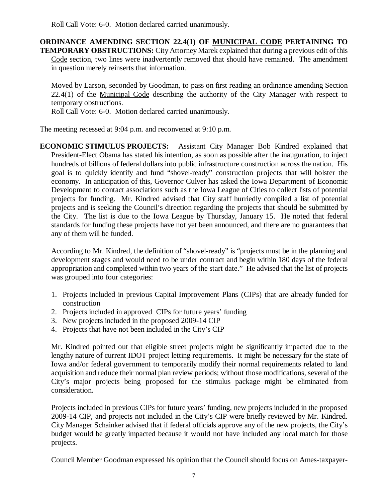Roll Call Vote: 6-0. Motion declared carried unanimously.

**ORDINANCE AMENDING SECTION 22.4(1) OF MUNICIPAL CODE PERTAINING TO TEMPORARY OBSTRUCTIONS:** City Attorney Marek explained that during a previous edit of this Code section, two lines were inadvertently removed that should have remained. The amendment in question merely reinserts that information.

Moved by Larson, seconded by Goodman, to pass on first reading an ordinance amending Section 22.4(1) of the Municipal Code describing the authority of the City Manager with respect to temporary obstructions.

Roll Call Vote: 6-0. Motion declared carried unanimously.

The meeting recessed at 9:04 p.m. and reconvened at 9:10 p.m.

**ECONOMIC STIMULUS PROJECTS:** Assistant City Manager Bob Kindred explained that President-Elect Obama has stated his intention, as soon as possible after the inauguration, to inject hundreds of billions of federal dollars into public infrastructure construction across the nation. His goal is to quickly identify and fund "shovel-ready" construction projects that will bolster the economy. In anticipation of this, Governor Culver has asked the Iowa Department of Economic Development to contact associations such as the Iowa League of Cities to collect lists of potential projects for funding. Mr. Kindred advised that City staff hurriedly compiled a list of potential projects and is seeking the Council's direction regarding the projects that should be submitted by the City. The list is due to the Iowa League by Thursday, January 15. He noted that federal standards for funding these projects have not yet been announced, and there are no guarantees that any of them will be funded.

According to Mr. Kindred, the definition of "shovel-ready" is "projects must be in the planning and development stages and would need to be under contract and begin within 180 days of the federal appropriation and completed within two years of the start date." He advised that the list of projects was grouped into four categories:

- 1. Projects included in previous Capital Improvement Plans (CIPs) that are already funded for construction
- 2. Projects included in approved CIPs for future years' funding
- 3. New projects included in the proposed 2009-14 CIP
- 4. Projects that have not been included in the City's CIP

Mr. Kindred pointed out that eligible street projects might be significantly impacted due to the lengthy nature of current IDOT project letting requirements. It might be necessary for the state of Iowa and/or federal government to temporarily modify their normal requirements related to land acquisition and reduce their normal plan review periods; without those modifications, several of the City's major projects being proposed for the stimulus package might be eliminated from consideration.

Projects included in previous CIPs for future years' funding, new projects included in the proposed 2009-14 CIP, and projects not included in the City's CIP were briefly reviewed by Mr. Kindred. City Manager Schainker advised that if federal officials approve any of the new projects, the City's budget would be greatly impacted because it would not have included any local match for those projects.

Council Member Goodman expressed his opinion that the Council should focus on Ames-taxpayer-